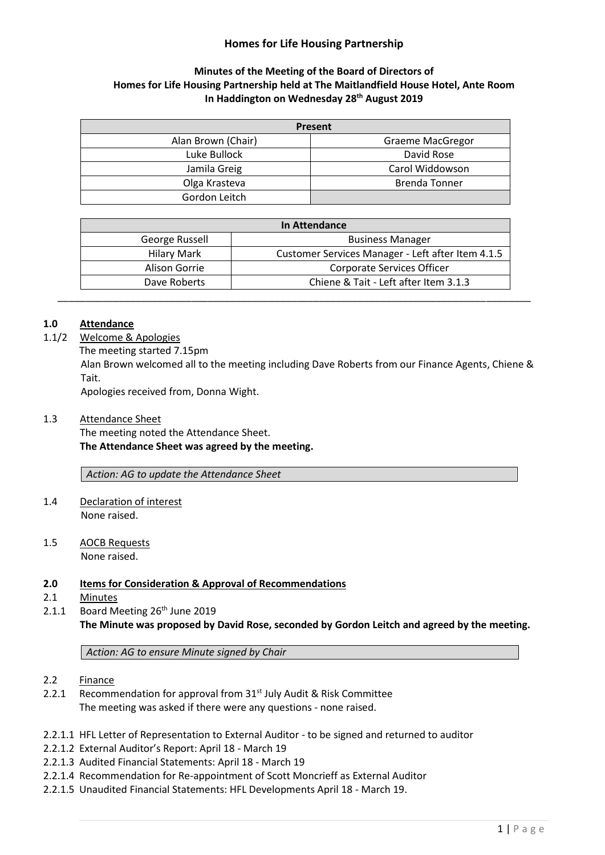# **Homes for Life Housing Partnership**

## **Minutes of the Meeting of the Board of Directors of Homes for Life Housing Partnership held at The Maitlandfield House Hotel, Ante Room In Haddington on Wednesday 28 th August 2019**

| Present            |                         |
|--------------------|-------------------------|
| Alan Brown (Chair) | <b>Graeme MacGregor</b> |
| Luke Bullock       | David Rose              |
| Jamila Greig       | Carol Widdowson         |
| Olga Krasteva      | <b>Brenda Tonner</b>    |
| Gordon Leitch      |                         |

| In Attendance |                    |                                                   |
|---------------|--------------------|---------------------------------------------------|
|               | George Russell     | <b>Business Manager</b>                           |
|               | <b>Hilary Mark</b> | Customer Services Manager - Left after Item 4.1.5 |
|               | Alison Gorrie      | Corporate Services Officer                        |
|               | Dave Roberts       | Chiene & Tait - Left after Item 3.1.3             |

## **1.0 Attendance**

1.1/2 Welcome & Apologies

The meeting started 7.15pm

Alan Brown welcomed all to the meeting including Dave Roberts from our Finance Agents, Chiene & Tait.

Apologies received from, Donna Wight.

1.3 Attendance Sheet

The meeting noted the Attendance Sheet. **The Attendance Sheet was agreed by the meeting.**

*Action: AG to update the Attendance Sheet*

- 1.4 Declaration of interest None raised.
- 1.5 AOCB Requests None raised.

#### **2.0 Items for Consideration & Approval of Recommendations**

- 2.1 Minutes
- 2.1.1 Board Meeting  $26<sup>th</sup>$  June 2019

**The Minute was proposed by David Rose, seconded by Gordon Leitch and agreed by the meeting.**

*Action: AG to ensure Minute signed by Chair*

- 2.2 Finance
- 2.2.1 Recommendation for approval from  $31<sup>st</sup>$  July Audit & Risk Committee The meeting was asked if there were any questions - none raised.
- 2.2.1.1 HFL Letter of Representation to External Auditor to be signed and returned to auditor
- 2.2.1.2 External Auditor's Report: April 18 March 19
- 2.2.1.3 Audited Financial Statements: April 18 March 19
- 2.2.1.4 Recommendation for Re-appointment of Scott Moncrieff as External Auditor
- 2.2.1.5 Unaudited Financial Statements: HFL Developments April 18 March 19.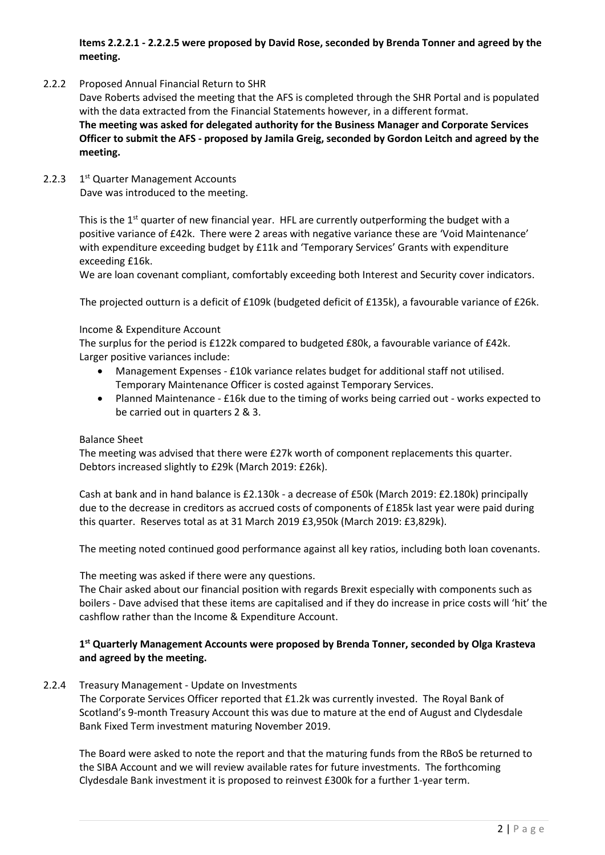# **Items 2.2.2.1 - 2.2.2.5 were proposed by David Rose, seconded by Brenda Tonner and agreed by the meeting.**

2.2.2 Proposed Annual Financial Return to SHR

Dave Roberts advised the meeting that the AFS is completed through the SHR Portal and is populated with the data extracted from the Financial Statements however, in a different format. **The meeting was asked for delegated authority for the Business Manager and Corporate Services Officer to submit the AFS - proposed by Jamila Greig, seconded by Gordon Leitch and agreed by the meeting.**

2.2.3 1 1<sup>st</sup> Quarter Management Accounts Dave was introduced to the meeting.

> This is the  $1<sup>st</sup>$  quarter of new financial year. HFL are currently outperforming the budget with a positive variance of £42k. There were 2 areas with negative variance these are 'Void Maintenance' with expenditure exceeding budget by £11k and 'Temporary Services' Grants with expenditure exceeding £16k.

We are loan covenant compliant, comfortably exceeding both Interest and Security cover indicators.

The projected outturn is a deficit of £109k (budgeted deficit of £135k), a favourable variance of £26k.

#### Income & Expenditure Account

The surplus for the period is £122k compared to budgeted £80k, a favourable variance of £42k. Larger positive variances include:

- Management Expenses £10k variance relates budget for additional staff not utilised. Temporary Maintenance Officer is costed against Temporary Services.
- Planned Maintenance £16k due to the timing of works being carried out works expected to be carried out in quarters 2 & 3.

### Balance Sheet

The meeting was advised that there were £27k worth of component replacements this quarter. Debtors increased slightly to £29k (March 2019: £26k).

Cash at bank and in hand balance is £2.130k - a decrease of £50k (March 2019: £2.180k) principally due to the decrease in creditors as accrued costs of components of £185k last year were paid during this quarter. Reserves total as at 31 March 2019 £3,950k (March 2019: £3,829k).

The meeting noted continued good performance against all key ratios, including both loan covenants.

The meeting was asked if there were any questions.

The Chair asked about our financial position with regards Brexit especially with components such as boilers - Dave advised that these items are capitalised and if they do increase in price costs will 'hit' the cashflow rather than the Income & Expenditure Account.

## **1 st Quarterly Management Accounts were proposed by Brenda Tonner, seconded by Olga Krasteva and agreed by the meeting.**

#### 2.2.4 Treasury Management - Update on Investments

The Corporate Services Officer reported that £1.2k was currently invested. The Royal Bank of Scotland's 9-month Treasury Account this was due to mature at the end of August and Clydesdale Bank Fixed Term investment maturing November 2019.

The Board were asked to note the report and that the maturing funds from the RBoS be returned to the SIBA Account and we will review available rates for future investments. The forthcoming Clydesdale Bank investment it is proposed to reinvest £300k for a further 1-year term.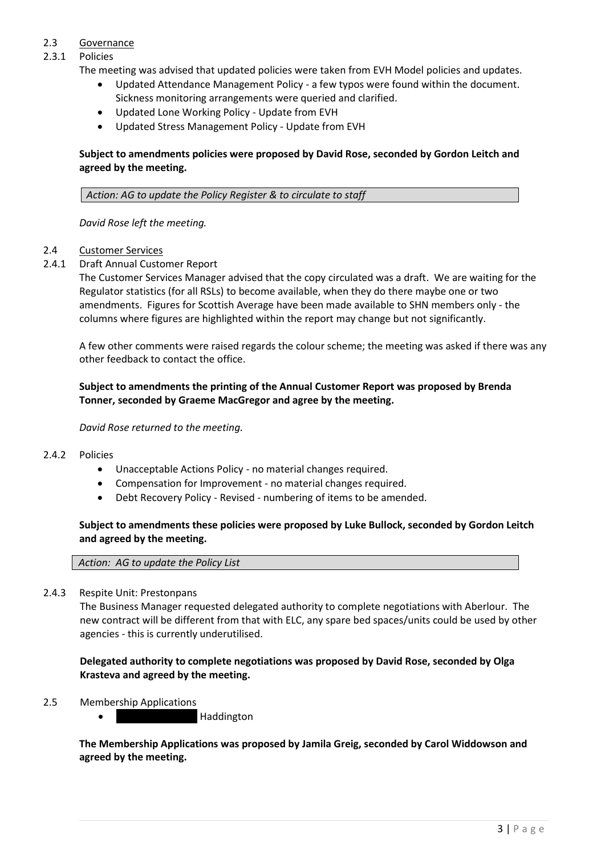## 2.3 Governance

## 2.3.1 Policies

The meeting was advised that updated policies were taken from EVH Model policies and updates.

- Updated Attendance Management Policy a few typos were found within the document. Sickness monitoring arrangements were queried and clarified.
- Updated Lone Working Policy Update from EVH
- Updated Stress Management Policy Update from EVH

# **Subject to amendments policies were proposed by David Rose, seconded by Gordon Leitch and agreed by the meeting.**

*Action: AG to update the Policy Register & to circulate to staff*

*David Rose left the meeting.*

## 2.4 Customer Services

## 2.4.1 Draft Annual Customer Report

The Customer Services Manager advised that the copy circulated was a draft. We are waiting for the Regulator statistics (for all RSLs) to become available, when they do there maybe one or two amendments. Figures for Scottish Average have been made available to SHN members only - the columns where figures are highlighted within the report may change but not significantly.

A few other comments were raised regards the colour scheme; the meeting was asked if there was any other feedback to contact the office.

## **Subject to amendments the printing of the Annual Customer Report was proposed by Brenda Tonner, seconded by Graeme MacGregor and agree by the meeting.**

### *David Rose returned to the meeting.*

#### 2.4.2 Policies

- Unacceptable Actions Policy no material changes required.
- Compensation for Improvement no material changes required.
- Debt Recovery Policy Revised numbering of items to be amended.

## **Subject to amendments these policies were proposed by Luke Bullock, seconded by Gordon Leitch and agreed by the meeting.**

#### *Action: AG to update the Policy List*

#### 2.4.3 Respite Unit: Prestonpans

The Business Manager requested delegated authority to complete negotiations with Aberlour. The new contract will be different from that with ELC, any spare bed spaces/units could be used by other agencies - this is currently underutilised.

**Delegated authority to complete negotiations was proposed by David Rose, seconded by Olga Krasteva and agreed by the meeting.**

#### 2.5 Membership Applications

**Haddington** 

**The Membership Applications was proposed by Jamila Greig, seconded by Carol Widdowson and agreed by the meeting.**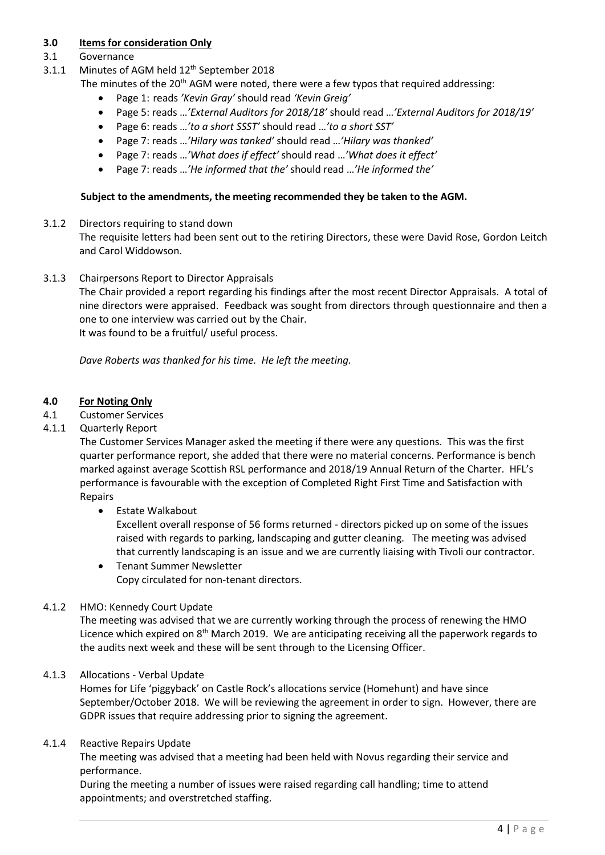# **3.0 Items for consideration Only**

# 3.1 Governance

- 3.1.1 Minutes of AGM held 12<sup>th</sup> September 2018
	- The minutes of the  $20<sup>th</sup>$  AGM were noted, there were a few typos that required addressing:
		- Page 1: reads *'Kevin Gray'* should read *'Kevin Greig'*
		- Page 5: reads …*'External Auditors for 2018/18'* should read …*'External Auditors for 2018/19'*
		- Page 6: reads …*'to a short SSST'* should read …*'to a short SST'*
		- Page 7: reads …*'Hilary was tanked'* should read …*'Hilary was thanked'*
		- Page 7: reads …*'What does if effect'* should read …*'What does it effect'*
		- Page 7: reads …*'He informed that the'* should read …*'He informed the'*

## **Subject to the amendments, the meeting recommended they be taken to the AGM.**

3.1.2 Directors requiring to stand down

The requisite letters had been sent out to the retiring Directors, these were David Rose, Gordon Leitch and Carol Widdowson.

3.1.3 Chairpersons Report to Director Appraisals

The Chair provided a report regarding his findings after the most recent Director Appraisals. A total of nine directors were appraised. Feedback was sought from directors through questionnaire and then a one to one interview was carried out by the Chair. It was found to be a fruitful/ useful process.

*Dave Roberts was thanked for his time. He left the meeting.*

## **4.0 For Noting Only**

4.1 Customer Services

## 4.1.1 Quarterly Report

The Customer Services Manager asked the meeting if there were any questions. This was the first quarter performance report, she added that there were no material concerns. Performance is bench marked against average Scottish RSL performance and 2018/19 Annual Return of the Charter. HFL's performance is favourable with the exception of Completed Right First Time and Satisfaction with Repairs

• Estate Walkabout

Excellent overall response of 56 forms returned - directors picked up on some of the issues raised with regards to parking, landscaping and gutter cleaning. The meeting was advised that currently landscaping is an issue and we are currently liaising with Tivoli our contractor.

• Tenant Summer Newsletter Copy circulated for non-tenant directors.

## 4.1.2 HMO: Kennedy Court Update

The meeting was advised that we are currently working through the process of renewing the HMO Licence which expired on 8<sup>th</sup> March 2019. We are anticipating receiving all the paperwork regards to the audits next week and these will be sent through to the Licensing Officer.

## 4.1.3 Allocations - Verbal Update

Homes for Life 'piggyback' on Castle Rock's allocations service (Homehunt) and have since September/October 2018. We will be reviewing the agreement in order to sign. However, there are GDPR issues that require addressing prior to signing the agreement.

#### 4.1.4 Reactive Repairs Update

The meeting was advised that a meeting had been held with Novus regarding their service and performance.

During the meeting a number of issues were raised regarding call handling; time to attend appointments; and overstretched staffing.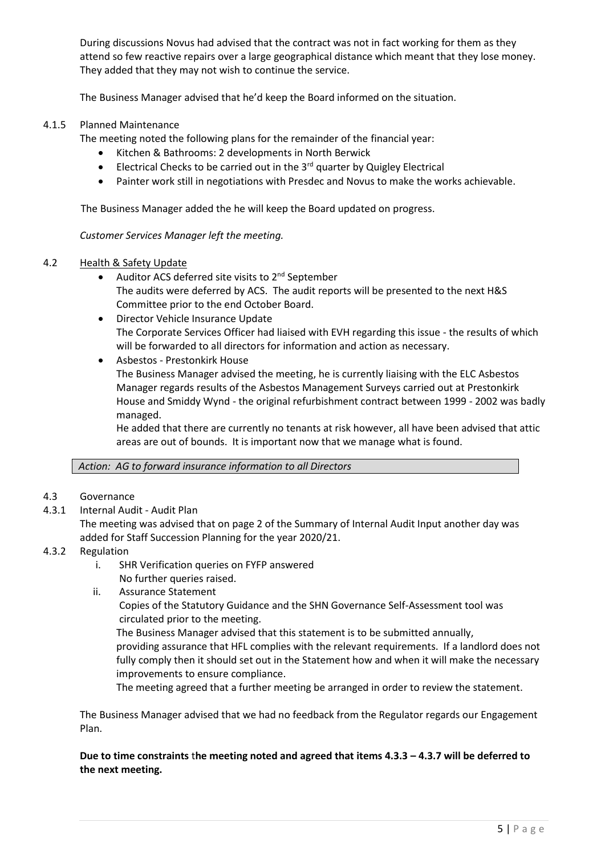During discussions Novus had advised that the contract was not in fact working for them as they attend so few reactive repairs over a large geographical distance which meant that they lose money. They added that they may not wish to continue the service.

The Business Manager advised that he'd keep the Board informed on the situation.

## 4.1.5 Planned Maintenance

The meeting noted the following plans for the remainder of the financial year:

- Kitchen & Bathrooms: 2 developments in North Berwick
- $\bullet$  Electrical Checks to be carried out in the 3 $^{rd}$  quarter by Quigley Electrical
- Painter work still in negotiations with Presdec and Novus to make the works achievable.

The Business Manager added the he will keep the Board updated on progress.

*Customer Services Manager left the meeting.*

#### 4.2 Health & Safety Update

- Auditor ACS deferred site visits to  $2^{nd}$  September The audits were deferred by ACS. The audit reports will be presented to the next H&S Committee prior to the end October Board.
- Director Vehicle Insurance Update The Corporate Services Officer had liaised with EVH regarding this issue - the results of which will be forwarded to all directors for information and action as necessary.
- Asbestos Prestonkirk House

The Business Manager advised the meeting, he is currently liaising with the ELC Asbestos Manager regards results of the Asbestos Management Surveys carried out at Prestonkirk House and Smiddy Wynd - the original refurbishment contract between 1999 - 2002 was badly managed.

He added that there are currently no tenants at risk however, all have been advised that attic areas are out of bounds. It is important now that we manage what is found.

*Action: AG to forward insurance information to all Directors* 

#### 4.3 Governance

4.3.1 Internal Audit - Audit Plan

The meeting was advised that on page 2 of the Summary of Internal Audit Input another day was added for Staff Succession Planning for the year 2020/21.

- 4.3.2 Regulation
	- i. SHR Verification queries on FYFP answered
		- No further queries raised.
	- ii. Assurance Statement

Copies of the Statutory Guidance and the SHN Governance Self-Assessment tool was circulated prior to the meeting.

The Business Manager advised that this statement is to be submitted annually,

providing assurance that HFL complies with the relevant requirements. If a landlord does not fully comply then it should set out in the Statement how and when it will make the necessary improvements to ensure compliance.

The meeting agreed that a further meeting be arranged in order to review the statement.

The Business Manager advised that we had no feedback from the Regulator regards our Engagement Plan.

**Due to time constraints** t**he meeting noted and agreed that items 4.3.3 – 4.3.7 will be deferred to the next meeting.**